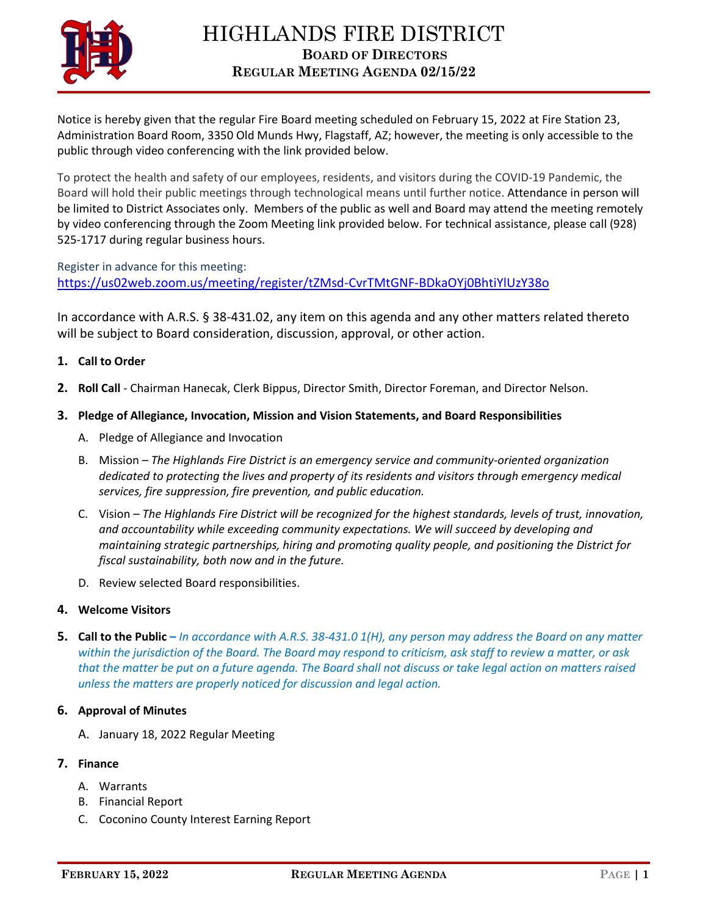

Notice is hereby given that the regular Fire Board meeting scheduled on February 15, 2022 at Fire Station 23, Administration Board Room, 3350 Old Munds Hwy, Flagstaff, AZ; however, the meeting is only accessible to the public through video conferencing with the link provided below.

To protect the health and safety of our employees, residents, and visitors during the COVID-19 Pandemic, the Board will hold their public meetings through technological means until further notice. Attendance in person will be limited to District Associates only. Members of the public as well and Board may attend the meeting remotely by video conferencing through the Zoom Meeting link provided below. For technical assistance, please call (928) 525-1717 during regular business hours.

Register in advance for this meeting: <https://us02web.zoom.us/meeting/register/tZMsd-CvrTMtGNF-BDkaOYj0BhtiYlUzY38o>

In accordance with A.R.S. § 38-431.02, any item on this agenda and any other matters related thereto will be subject to Board consideration, discussion, approval, or other action.

## **1. Call to Order**

**2. Roll Call** - Chairman Hanecak, Clerk Bippus, Director Smith, Director Foreman, and Director Nelson.

## **3. Pledge of Allegiance, Invocation, Mission and Vision Statements, and Board Responsibilities**

- A. Pledge of Allegiance and Invocation
- B. Mission *The Highlands Fire District is an emergency service and community-oriented organization dedicated to protecting the lives and property of its residents and visitors through emergency medical services, fire suppression, fire prevention, and public education.*
- C. Vision *The Highlands Fire District will be recognized for the highest standards, levels of trust, innovation, and accountability while exceeding community expectations. We will succeed by developing and maintaining strategic partnerships, hiring and promoting quality people, and positioning the District for fiscal sustainability, both now and in the future.*
- D. Review selected Board responsibilities.

## **4. Welcome Visitors**

**5. Call to the Public –** *In accordance with A.R.S. 38-431.0 1(H), any person may address the Board on any matter within the jurisdiction of the Board. The Board may respond to criticism, ask staff to review a matter, or ask that the matter be put on a future agenda. The Board shall not discuss or take legal action on matters raised unless the matters are properly noticed for discussion and legal action.*

## **6. Approval of Minutes**

A. January 18, 2022 Regular Meeting

# **7. Finance**

- A. Warrants
- B. Financial Report
- C. Coconino County Interest Earning Report